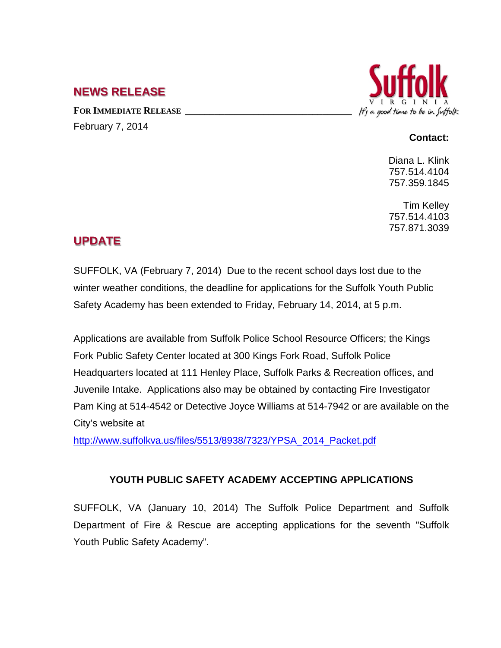## **NEWS RELEASE**

FOR **IMMEDIATE RELEASE** February 7, 2014



## **Contact:**

Diana L. Klink 757.514.4104 757.359.1845

Tim Kelley 757.514.4103 757.871.3039

## **UPDATE**

SUFFOLK, VA (February 7, 2014) Due to the recent school days lost due to the winter weather conditions, the deadline for applications for the Suffolk Youth Public Safety Academy has been extended to Friday, February 14, 2014, at 5 p.m.

Applications are available from Suffolk Police School Resource Officers; the Kings Fork Public Safety Center located at 300 Kings Fork Road, Suffolk Police Headquarters located at 111 Henley Place, Suffolk Parks & Recreation offices, and Juvenile Intake. Applications also may be obtained by contacting Fire Investigator Pam King at 514-4542 or Detective Joyce Williams at 514-7942 or are available on the City's website at

[http://www.suffolkva.us/files/5513/8938/7323/YPSA\\_2014\\_Packet.pdf](http://www.suffolkva.us/files/5513/8938/7323/YPSA_2014_Packet.pdf) 

## **YOUTH PUBLIC SAFETY ACADEMY ACCEPTING APPLICATIONS**

SUFFOLK, VA (January 10, 2014) The Suffolk Police Department and Suffolk Department of Fire & Rescue are accepting applications for the seventh "Suffolk Youth Public Safety Academy".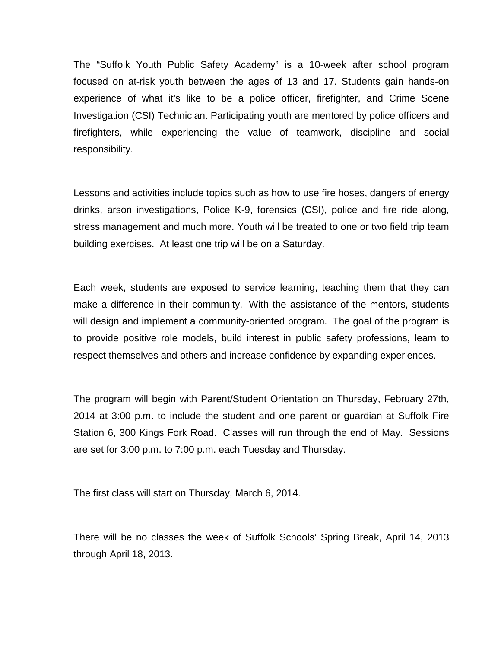The "Suffolk Youth Public Safety Academy" is a 10-week after school program focused on at-risk youth between the ages of 13 and 17. Students gain hands-on experience of what it's like to be a police officer, firefighter, and Crime Scene Investigation (CSI) Technician. Participating youth are mentored by police officers and firefighters, while experiencing the value of teamwork, discipline and social responsibility.

Lessons and activities include topics such as how to use fire hoses, dangers of energy drinks, arson investigations, Police K-9, forensics (CSI), police and fire ride along, stress management and much more. Youth will be treated to one or two field trip team building exercises. At least one trip will be on a Saturday.

Each week, students are exposed to service learning, teaching them that they can make a difference in their community. With the assistance of the mentors, students will design and implement a community-oriented program. The goal of the program is to provide positive role models, build interest in public safety professions, learn to respect themselves and others and increase confidence by expanding experiences.

The program will begin with Parent/Student Orientation on Thursday, February 27th, 2014 at 3:00 p.m. to include the student and one parent or guardian at Suffolk Fire Station 6, 300 Kings Fork Road. Classes will run through the end of May. Sessions are set for 3:00 p.m. to 7:00 p.m. each Tuesday and Thursday.

The first class will start on Thursday, March 6, 2014.

There will be no classes the week of Suffolk Schools' Spring Break, April 14, 2013 through April 18, 2013.